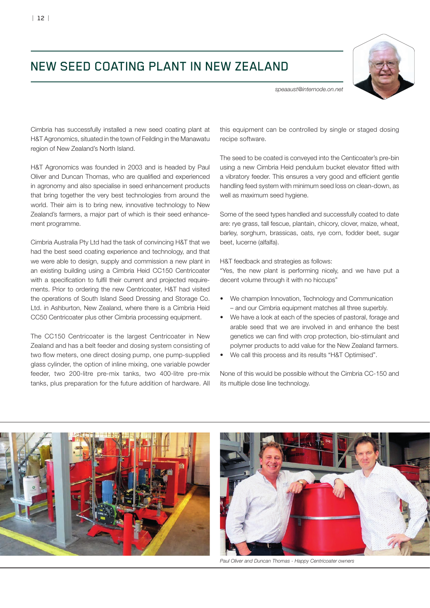## NEW SEED COATING PLANT IN NEW ZEALAND



*speaaust@internode.on.net*

Cimbria has successfully installed a new seed coating plant at H&T Agronomics, situated in the town of Feilding in the Manawatu region of New Zealand's North Island.

H&T Agronomics was founded in 2003 and is headed by Paul Oliver and Duncan Thomas, who are qualified and experienced in agronomy and also specialise in seed enhancement products that bring together the very best technologies from around the world. Their aim is to bring new, innovative technology to New Zealand's farmers, a major part of which is their seed enhancement programme.

Cimbria Australia Pty Ltd had the task of convincing H&T that we had the best seed coating experience and technology, and that we were able to design, supply and commission a new plant in an existing building using a Cimbria Heid CC150 Centricoater with a specification to fulfil their current and projected requirements. Prior to ordering the new Centricoater, H&T had visited the operations of South Island Seed Dressing and Storage Co. Ltd. in Ashburton, New Zealand, where there is a Cimbria Heid CC50 Centricoater plus other Cimbria processing equipment.

The CC150 Centricoater is the largest Centricoater in New Zealand and has a belt feeder and dosing system consisting of two flow meters, one direct dosing pump, one pump-supplied glass cylinder, the option of inline mixing, one variable powder feeder, two 200-litre pre-mix tanks, two 400-litre pre-mix tanks, plus preparation for the future addition of hardware. All

this equipment can be controlled by single or staged dosing recipe software.

The seed to be coated is conveyed into the Centicoater's pre-bin using a new Cimbria Heid pendulum bucket elevator fitted with a vibratory feeder. This ensures a very good and efficient gentle handling feed system with minimum seed loss on clean-down, as well as maximum seed hygiene.

Some of the seed types handled and successfully coated to date are: rye grass, tall fescue, plantain, chicory, clover, maize, wheat, barley, sorghum, brassicas, oats, rye corn, fodder beet, sugar beet, lucerne (alfalfa).

H&T feedback and strategies as follows: "Yes, the new plant is performing nicely, and we have put a decent volume through it with no hiccups"

- We champion Innovation, Technology and Communication – and our Cimbria equipment matches all three superbly.
- We have a look at each of the species of pastoral, forage and arable seed that we are involved in and enhance the best genetics we can find with crop protection, bio-stimulant and polymer products to add value for the New Zealand farmers.
- We call this process and its results "H&T Optimised".

None of this would be possible without the Cimbria CC-150 and its multiple dose line technology.





*Paul Oliver and Duncan Thomas - Happy Centricoater owners*